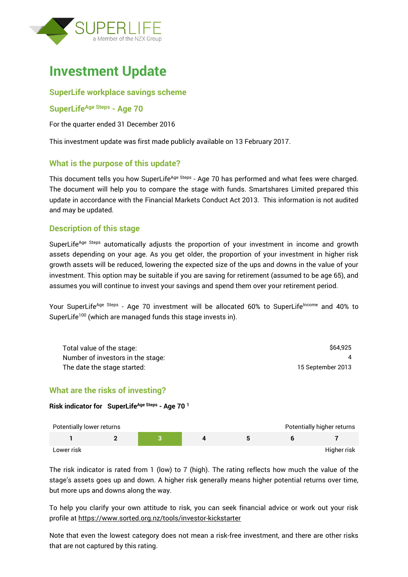

# **Investment Update**

## **SuperLife workplace savings scheme**

#### **SuperLifeAge Steps - Age 70**

For the quarter ended 31 December 2016

This investment update was first made publicly available on 13 February 2017.

## **What is the purpose of this update?**

This document tells you how SuperLife<sup>Age Steps</sup> - Age 70 has performed and what fees were charged. The document will help you to compare the stage with funds. Smartshares Limited prepared this update in accordance with the Financial Markets Conduct Act 2013. This information is not audited and may be updated.

## **Description of this stage**

SuperLife<sup>Age Steps</sup> automatically adjusts the proportion of your investment in income and growth assets depending on your age. As you get older, the proportion of your investment in higher risk growth assets will be reduced, lowering the expected size of the ups and downs in the value of your investment. This option may be suitable if you are saving for retirement (assumed to be age 65), and assumes you will continue to invest your savings and spend them over your retirement period.

Your SuperLife<sup>Age Steps</sup> - Age 70 investment will be allocated 60% to SuperLife<sup>Income</sup> and 40% to SuperLife<sup>100</sup> (which are managed funds this stage invests in).

| Total value of the stage:         | \$64,925          |
|-----------------------------------|-------------------|
| Number of investors in the stage: |                   |
| The date the stage started:       | 15 September 2013 |

## **What are the risks of investing?**

**Risk indicator for SuperLifeAge Steps - Age 70 <sup>1</sup>**

| Potentially lower returns |  |  | Potentially higher returns |
|---------------------------|--|--|----------------------------|
|                           |  |  |                            |
| Lower risk                |  |  | Higher risk                |

The risk indicator is rated from 1 (low) to 7 (high). The rating reflects how much the value of the stage's assets goes up and down. A higher risk generally means higher potential returns over time, but more ups and downs along the way.

To help you clarify your own attitude to risk, you can seek financial advice or work out your risk profile at<https://www.sorted.org.nz/tools/investor-kickstarter>

Note that even the lowest category does not mean a risk-free investment, and there are other risks that are not captured by this rating.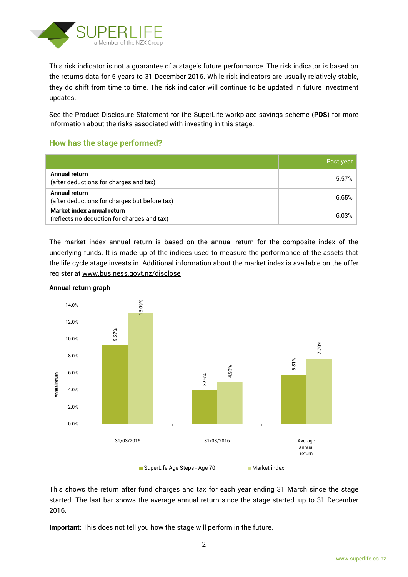

This risk indicator is not a guarantee of a stage's future performance. The risk indicator is based on the returns data for 5 years to 31 December 2016. While risk indicators are usually relatively stable, they do shift from time to time. The risk indicator will continue to be updated in future investment updates.

See the Product Disclosure Statement for the SuperLife workplace savings scheme (**PDS**) for more information about the risks associated with investing in this stage.

## **How has the stage performed?**

|                                                                           | Past year |
|---------------------------------------------------------------------------|-----------|
| Annual return<br>(after deductions for charges and tax)                   | 5.57%     |
| Annual return<br>(after deductions for charges but before tax)            | 6.65%     |
| Market index annual return<br>(reflects no deduction for charges and tax) | 6.03%     |

The market index annual return is based on the annual return for the composite index of the underlying funds. It is made up of the indices used to measure the performance of the assets that the life cycle stage invests in. Additional information about the market index is available on the offer register at [www.business.govt.nz/disclose](http://www.business.govt.nz/disclose)



#### **Annual return graph**

This shows the return after fund charges and tax for each year ending 31 March since the stage started. The last bar shows the average annual return since the stage started, up to 31 December 2016.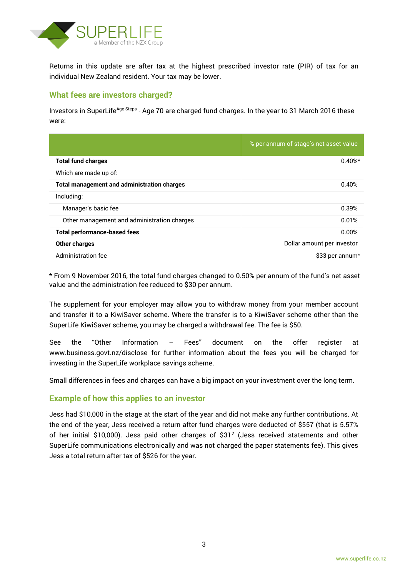

Returns in this update are after tax at the highest prescribed investor rate (PIR) of tax for an individual New Zealand resident. Your tax may be lower.

## **What fees are investors charged?**

Investors in SuperLife<sup>Age Steps</sup> - Age 70 are charged fund charges. In the year to 31 March 2016 these were:

|                                                    | % per annum of stage's net asset value |
|----------------------------------------------------|----------------------------------------|
| <b>Total fund charges</b>                          | $0.40%$ *                              |
| Which are made up of:                              |                                        |
| <b>Total management and administration charges</b> | 0.40%                                  |
| Including:                                         |                                        |
| Manager's basic fee                                | 0.39%                                  |
| Other management and administration charges        | 0.01%                                  |
| <b>Total performance-based fees</b>                | 0.00%                                  |
| <b>Other charges</b>                               | Dollar amount per investor             |
| Administration fee                                 | \$33 per annum*                        |

\* From 9 November 2016, the total fund charges changed to 0.50% per annum of the fund's net asset value and the administration fee reduced to \$30 per annum.

The supplement for your employer may allow you to withdraw money from your member account and transfer it to a KiwiSaver scheme. Where the transfer is to a KiwiSaver scheme other than the SuperLife KiwiSaver scheme, you may be charged a withdrawal fee. The fee is \$50.

See the "Other Information – Fees" document on the offer register at www.business.govt.nz/disclose for further information about the fees you will be charged for investing in the SuperLife workplace savings scheme.

Small differences in fees and charges can have a big impact on your investment over the long term.

## **Example of how this applies to an investor**

Jess had \$10,000 in the stage at the start of the year and did not make any further contributions. At the end of the year, Jess received a return after fund charges were deducted of \$557 (that is 5.57% of her initial \$10,000). Jess paid other charges of \$31<sup>2</sup> (Jess received statements and other SuperLife communications electronically and was not charged the paper statements fee). This gives Jess a total return after tax of \$526 for the year.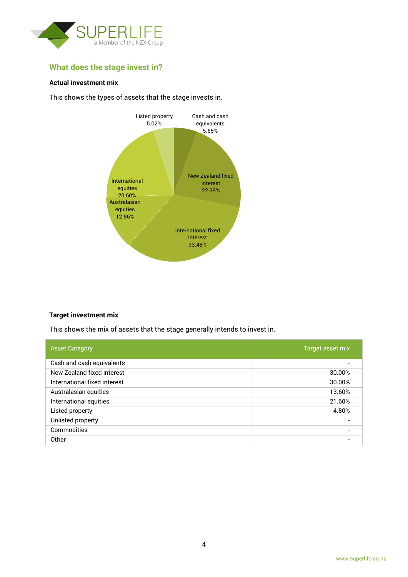

## **What does the stage invest in?**

#### **Actual investment mix**

This shows the types of assets that the stage invests in.



#### **Target investment mix**

This shows the mix of assets that the stage generally intends to invest in.

| <b>Asset Category</b>        | Target asset mix         |
|------------------------------|--------------------------|
| Cash and cash equivalents    |                          |
| New Zealand fixed interest   | 30.00%                   |
| International fixed interest | 30.00%                   |
| Australasian equities        | 13.60%                   |
| International equities       | 21.60%                   |
| Listed property              | 4.80%                    |
| Unlisted property            | $\overline{\phantom{0}}$ |
| Commodities                  | $\overline{\phantom{0}}$ |
| Other                        |                          |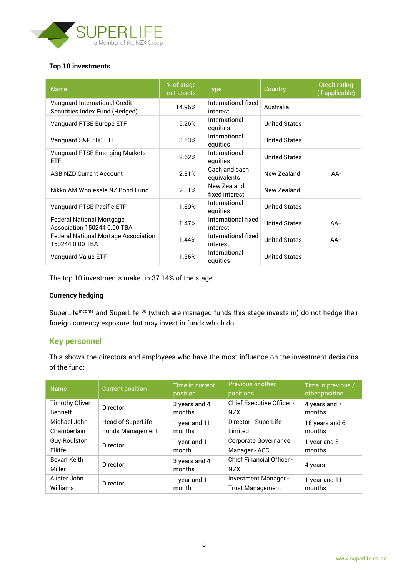

#### **Top 10 investments**

| <b>Name</b>                                                     | % of stage<br>net assets | <b>Type</b>                     | Country              | <b>Credit rating</b><br>(if applicable) |
|-----------------------------------------------------------------|--------------------------|---------------------------------|----------------------|-----------------------------------------|
| Vanguard International Credit<br>Securities Index Fund (Hedged) | 14.96%                   | International fixed<br>interest | Australia            |                                         |
| Vanguard FTSE Europe ETF                                        | 5.26%                    | International<br>equities       | <b>United States</b> |                                         |
| Vanguard S&P 500 ETF                                            | 3.53%                    | International<br>equities       | <b>United States</b> |                                         |
| Vanguard FTSE Emerging Markets<br><b>ETF</b>                    | 2.62%                    | International<br>equities       | <b>United States</b> |                                         |
| <b>ASB NZD Current Account</b>                                  | 2.31%                    | Cash and cash<br>equivalents    | New Zealand          | AA-                                     |
| Nikko AM Wholesale NZ Bond Fund                                 | 2.31%                    | New Zealand<br>fixed interest   | New Zealand          |                                         |
| Vanguard FTSE Pacific ETF                                       | 1.89%                    | International<br>equities       | <b>United States</b> |                                         |
| <b>Federal National Mortgage</b><br>Association 150244 0.00 TBA | 1.47%                    | International fixed<br>interest | <b>United States</b> | $AA+$                                   |
| <b>Federal National Mortage Association</b><br>150244 0.00 TBA  | 1.44%                    | International fixed<br>interest | <b>United States</b> | $AA+$                                   |
| Vanguard Value ETF                                              | 1.36%                    | International<br>equities       | <b>United States</b> |                                         |

The top 10 investments make up 37.14% of the stage.

#### **Currency hedging**

SuperLife<sup>Income</sup> and SuperLife<sup>100</sup> (which are managed funds this stage invests in) do not hedge their foreign currency exposure, but may invest in funds which do.

#### **Key personnel**

This shows the directors and employees who have the most influence on the investment decisions of the fund:

| <b>Name</b>           | <b>Current position</b> | Time in current<br>position | Previous or other<br>positions                 | Time in previous /<br>other position |
|-----------------------|-------------------------|-----------------------------|------------------------------------------------|--------------------------------------|
| <b>Timothy Oliver</b> | Director                | 3 years and 4               | <b>Chief Executive Officer -</b>               | 4 years and 7                        |
| <b>Bennett</b>        |                         | months                      | <b>NZX</b>                                     | months                               |
| Michael John          | Head of SuperLife       | 1 year and 11               | Director - SuperLife                           | 18 years and 6                       |
| Chamberlain           | <b>Funds Management</b> | months                      | Limited                                        | months                               |
| <b>Guy Roulston</b>   | Director                | 1 year and 1                | <b>Corporate Governance</b>                    | 1 year and 8                         |
| Elliffe               |                         | month                       | Manager - ACC                                  | months                               |
| Bevan Keith<br>Miller | <b>Director</b>         | 3 years and 4<br>months     | <b>Chief Financial Officer -</b><br><b>NZX</b> | 4 years                              |
| Alister John          | <b>Director</b>         | 1 year and 1                | Investment Manager -                           | 1 year and 11                        |
| Williams              |                         | month                       | <b>Trust Management</b>                        | months                               |